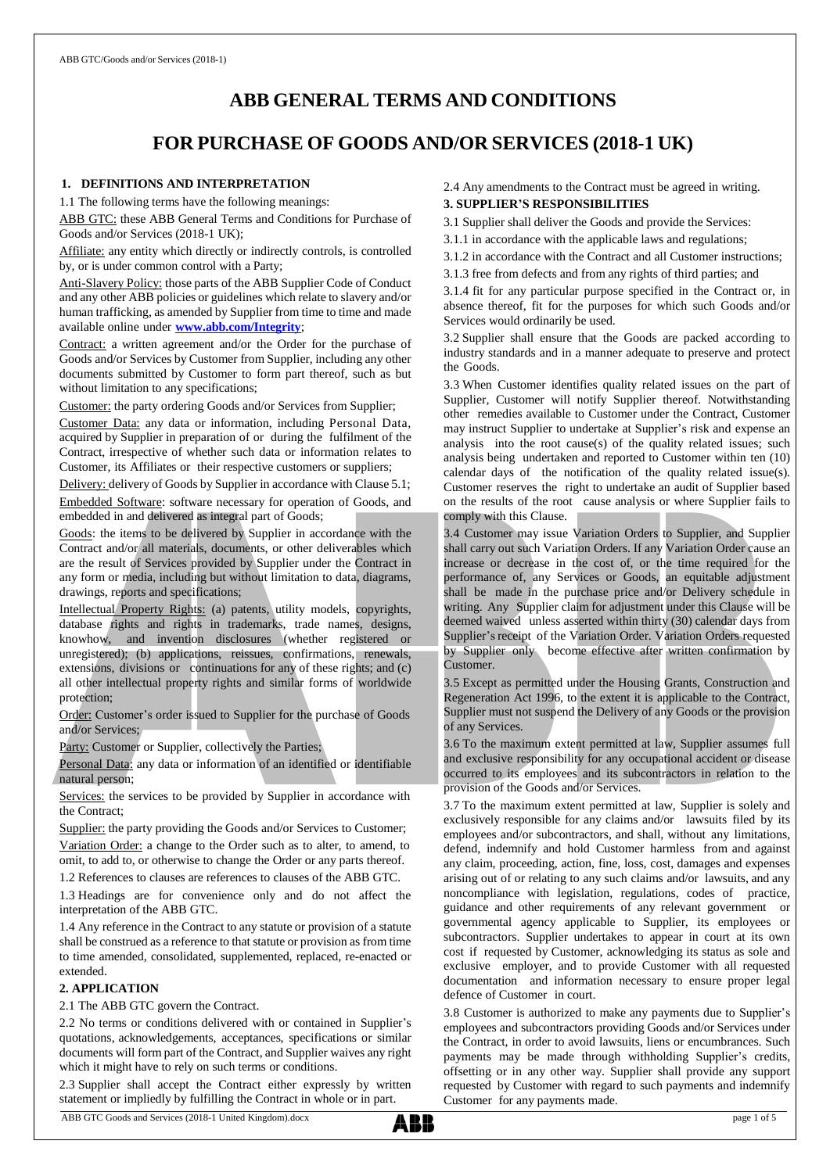# **ABB GENERAL TERMS AND CONDITIONS**

## **FOR PURCHASE OF GOODS AND/OR SERVICES (2018-1 UK)**

#### **1. DEFINITIONS AND INTERPRETATION**

1.1 The following terms have the following meanings:

ABB GTC: these ABB General Terms and Conditions for Purchase of Goods and/or Services (2018-1 UK);

Affiliate: any entity which directly or indirectly controls, is controlled by, or is under common control with a Party;

Anti-Slavery Policy: those parts of the ABB Supplier Code of Conduct and any other ABB policies or guidelines which relate to slavery and/or human trafficking, as amended by Supplier from time to time and made available online under **[www.abb.com/Integrity](http://www.abb.com/Integrity.)**;

Contract: a written agreement and/or the Order for the purchase of Goods and/or Services by Customer from Supplier, including any other documents submitted by Customer to form part thereof, such as but without limitation to any specifications;

Customer: the party ordering Goods and/or Services from Supplier;

Customer Data: any data or information, including Personal Data, acquired by Supplier in preparation of or during the fulfilment of the Contract, irrespective of whether such data or information relates to Customer, its Affiliates or their respective customers or suppliers;

Delivery: delivery of Goods by Supplier in accordance with Clause 5.1; Embedded Software: software necessary for operation of Goods, and embedded in and delivered as integral part of Goods;

Goods: the items to be delivered by Supplier in accordance with the Contract and/or all materials, documents, or other deliverables which are the result of Services provided by Supplier under the Contract in any form or media, including but without limitation to data, diagrams, drawings, reports and specifications;

Intellectual Property Rights: (a) patents, utility models, copyrights, database rights and rights in trademarks, trade names, designs, knowhow, and invention disclosures (whether registered or unregistered); (b) applications, reissues, confirmations, renewals, extensions, divisions or continuations for any of these rights; and (c) all other intellectual property rights and similar forms of worldwide protection;

Order: Customer's order issued to Supplier for the purchase of Goods and/or Services;

Party: Customer or Supplier, collectively the Parties;

Personal Data: any data or information of an identified or identifiable natural person;

Services: the services to be provided by Supplier in accordance with the Contract;

Supplier: the party providing the Goods and/or Services to Customer; Variation Order: a change to the Order such as to alter, to amend, to omit, to add to, or otherwise to change the Order or any parts thereof.

1.2 References to clauses are references to clauses of the ABB GTC.

1.3 Headings are for convenience only and do not affect the interpretation of the ABB GTC.

1.4 Any reference in the Contract to any statute or provision of a statute shall be construed as a reference to that statute or provision as from time to time amended, consolidated, supplemented, replaced, re-enacted or extended.

## **2. APPLICATION**

2.1 The ABB GTC govern the Contract.

2.2 No terms or conditions delivered with or contained in Supplier's quotations, acknowledgements, acceptances, specifications or similar documents will form part of the Contract, and Supplier waives any right which it might have to rely on such terms or conditions.

2.3 Supplier shall accept the Contract either expressly by written statement or impliedly by fulfilling the Contract in whole or in part.

2.4 Any amendments to the Contract must be agreed in writing.

### **3. SUPPLIER'S RESPONSIBILITIES**

- 3.1 Supplier shall deliver the Goods and provide the Services:
- 3.1.1 in accordance with the applicable laws and regulations;
- 3.1.2 in accordance with the Contract and all Customer instructions;

3.1.3 free from defects and from any rights of third parties; and

3.1.4 fit for any particular purpose specified in the Contract or, in absence thereof, fit for the purposes for which such Goods and/or Services would ordinarily be used.

3.2 Supplier shall ensure that the Goods are packed according to industry standards and in a manner adequate to preserve and protect the Goods.

3.3 When Customer identifies quality related issues on the part of Supplier, Customer will notify Supplier thereof. Notwithstanding other remedies available to Customer under the Contract, Customer may instruct Supplier to undertake at Supplier's risk and expense an analysis into the root cause(s) of the quality related issues; such analysis being undertaken and reported to Customer within ten (10) calendar days of the notification of the quality related issue(s). Customer reserves the right to undertake an audit of Supplier based on the results of the root cause analysis or where Supplier fails to comply with this Clause.

3.4 Customer may issue Variation Orders to Supplier, and Supplier shall carry out such Variation Orders. If any Variation Order cause an increase or decrease in the cost of, or the time required for the performance of, any Services or Goods, an equitable adjustment shall be made in the purchase price and/or Delivery schedule in writing. Any Supplier claim for adjustment under this Clause will be deemed waived unless asserted within thirty (30) calendar days from Supplier's receipt of the Variation Order. Variation Orders requested by Supplier only become effective after written confirmation by Customer.

3.5 Except as permitted under the Housing Grants, Construction and Regeneration Act 1996, to the extent it is applicable to the Contract, Supplier must not suspend the Delivery of any Goods or the provision of any Services.

3.6 To the maximum extent permitted at law, Supplier assumes full and exclusive responsibility for any occupational accident or disease occurred to its employees and its subcontractors in relation to the provision of the Goods and/or Services.

3.7 To the maximum extent permitted at law, Supplier is solely and exclusively responsible for any claims and/or lawsuits filed by its employees and/or subcontractors, and shall, without any limitations, defend, indemnify and hold Customer harmless from and against any claim, proceeding, action, fine, loss, cost, damages and expenses arising out of or relating to any such claims and/or lawsuits, and any noncompliance with legislation, regulations, codes of practice, guidance and other requirements of any relevant government or governmental agency applicable to Supplier, its employees or subcontractors. Supplier undertakes to appear in court at its own cost if requested by Customer, acknowledging its status as sole and exclusive employer, and to provide Customer with all requested documentation and information necessary to ensure proper legal defence of Customer in court.

3.8 Customer is authorized to make any payments due to Supplier's employees and subcontractors providing Goods and/or Services under the Contract, in order to avoid lawsuits, liens or encumbrances. Such payments may be made through withholding Supplier's credits, offsetting or in any other way. Supplier shall provide any support requested by Customer with regard to such payments and indemnify Customer for any payments made.

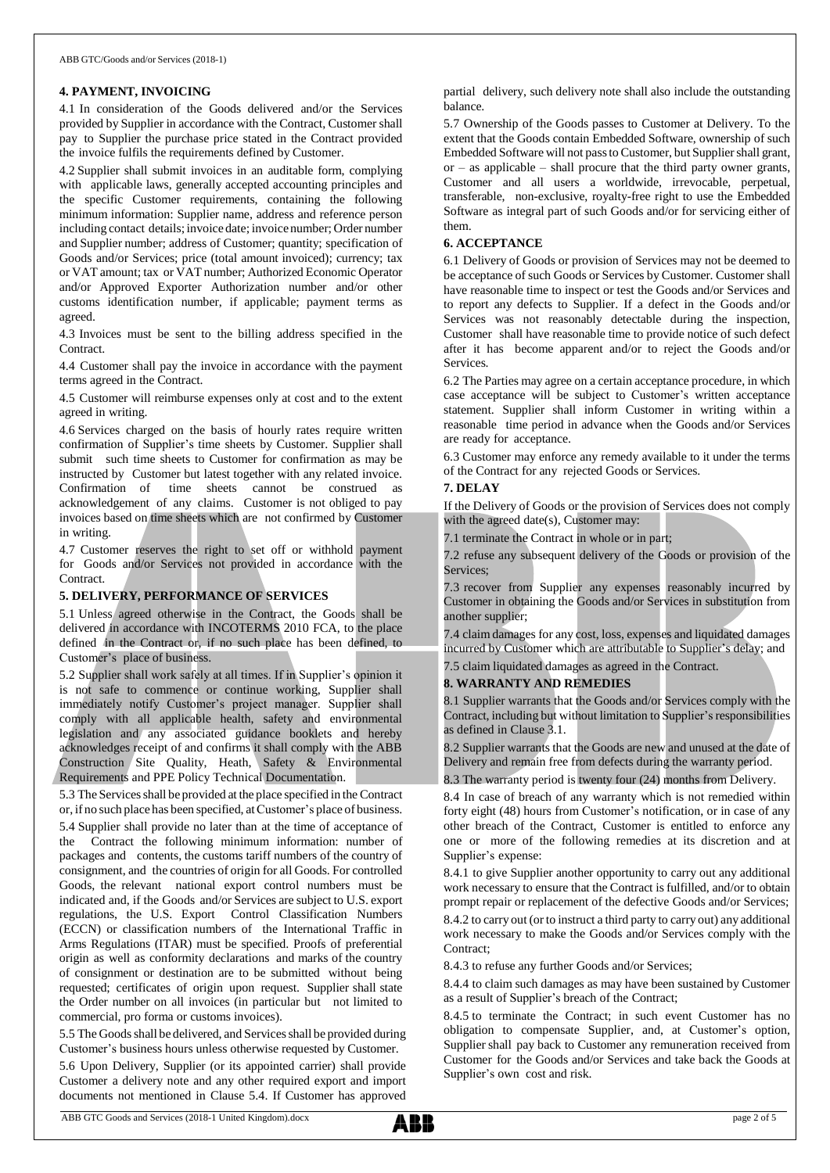## **4. PAYMENT, INVOICING**

4.1 In consideration of the Goods delivered and/or the Services provided by Supplier in accordance with the Contract, Customer shall pay to Supplier the purchase price stated in the Contract provided the invoice fulfils the requirements defined by Customer.

4.2 Supplier shall submit invoices in an auditable form, complying with applicable laws, generally accepted accounting principles and the specific Customer requirements, containing the following minimum information: Supplier name, address and reference person including contact details; invoice date; invoice number; Order number and Supplier number; address of Customer; quantity; specification of Goods and/or Services; price (total amount invoiced); currency; tax or VAT amount; tax or VAT number; Authorized Economic Operator and/or Approved Exporter Authorization number and/or other customs identification number, if applicable; payment terms as agreed.

4.3 Invoices must be sent to the billing address specified in the **Contract.** 

4.4 Customer shall pay the invoice in accordance with the payment terms agreed in the Contract.

4.5 Customer will reimburse expenses only at cost and to the extent agreed in writing.

4.6 Services charged on the basis of hourly rates require written confirmation of Supplier's time sheets by Customer. Supplier shall submit such time sheets to Customer for confirmation as may be instructed by Customer but latest together with any related invoice. Confirmation of time sheets cannot be construed as acknowledgement of any claims. Customer is not obliged to pay invoices based on time sheets which are not confirmed by Customer in writing.

4.7 Customer reserves the right to set off or withhold payment for Goods and/or Services not provided in accordance with the Contract.

## **5. DELIVERY, PERFORMANCE OF SERVICES**

5.1 Unless agreed otherwise in the Contract, the Goods shall be delivered in accordance with INCOTERMS 2010 FCA, to the place defined in the Contract or, if no such place has been defined, to Customer's place of business.

5.2 Supplier shall work safely at all times. If in Supplier's opinion it is not safe to commence or continue working, Supplier shall immediately notify Customer's project manager. Supplier shall comply with all applicable health, safety and environmental legislation and any associated guidance booklets and hereby acknowledges receipt of and confirms it shall comply with the ABB Construction Site Quality, Heath, Safety & Environmental Requirements and PPE Policy Technical Documentation.

5.3 The Servicesshall be provided at the place specified in the Contract or, if no such place has been specified, atCustomer's place of business. 5.4 Supplier shall provide no later than at the time of acceptance of the Contract the following minimum information: number of packages and contents, the customs tariff numbers of the country of consignment, and the countries of origin for all Goods. For controlled Goods, the relevant national export control numbers must be indicated and, if the Goods and/or Services are subject to U.S. export regulations, the U.S. Export Control Classification Numbers (ECCN) or classification numbers of the International Traffic in Arms Regulations (ITAR) must be specified. Proofs of preferential origin as well as conformity declarations and marks of the country of consignment or destination are to be submitted without being requested; certificates of origin upon request. Supplier shall state the Order number on all invoices (in particular but not limited to commercial, pro forma or customs invoices).

5.5 The Goods shall be delivered, and Services shall be provided during Customer's business hours unless otherwise requested by Customer.

5.6 Upon Delivery, Supplier (or its appointed carrier) shall provide Customer a delivery note and any other required export and import documents not mentioned in Clause 5.4. If Customer has approved partial delivery, such delivery note shall also include the outstanding balance.

5.7 Ownership of the Goods passes to Customer at Delivery. To the extent that the Goods contain Embedded Software, ownership of such Embedded Software will not pass to Customer, but Supplier shall grant,  $or - as applicable - shall prove the third party owner grants,$ Customer and all users a worldwide, irrevocable, perpetual, transferable, non-exclusive, royalty-free right to use the Embedded Software as integral part of such Goods and/or for servicing either of them.

### **6. ACCEPTANCE**

6.1 Delivery of Goods or provision of Services may not be deemed to be acceptance of such Goods or Services by Customer. Customer shall have reasonable time to inspect or test the Goods and/or Services and to report any defects to Supplier. If a defect in the Goods and/or Services was not reasonably detectable during the inspection, Customer shall have reasonable time to provide notice of such defect after it has become apparent and/or to reject the Goods and/or Services.

6.2 The Parties may agree on a certain acceptance procedure, in which case acceptance will be subject to Customer's written acceptance statement. Supplier shall inform Customer in writing within a reasonable time period in advance when the Goods and/or Services are ready for acceptance.

6.3 Customer may enforce any remedy available to it under the terms of the Contract for any rejected Goods or Services.

### **7. DELAY**

If the Delivery of Goods or the provision of Services does not comply with the agreed date(s), Customer may:

7.1 terminate the Contract in whole or in part;

7.2 refuse any subsequent delivery of the Goods or provision of the Services;

7.3 recover from Supplier any expenses reasonably incurred by Customer in obtaining the Goods and/or Services in substitution from another supplier;

7.4 claimdamages for any cost, loss, expenses and liquidated damages incurred by Customer which are attributable to Supplier's delay; and

7.5 claim liquidated damages as agreed in the Contract.

#### **8. WARRANTY AND REMEDIES**

8.1 Supplier warrants that the Goods and/or Services comply with the Contract, including but without limitation to Supplier's responsibilities as defined in Clause 3.1.

8.2 Supplier warrants that the Goods are new and unused at the date of Delivery and remain free from defects during the warranty period.

8.3 The warranty period is twenty four (24) months from Delivery.

8.4 In case of breach of any warranty which is not remedied within forty eight (48) hours from Customer's notification, or in case of any other breach of the Contract, Customer is entitled to enforce any one or more of the following remedies at its discretion and at Supplier's expense:

8.4.1 to give Supplier another opportunity to carry out any additional work necessary to ensure that the Contract is fulfilled, and/or to obtain prompt repair or replacement of the defective Goods and/or Services;

8.4.2 to carry out (or to instruct a third party to carry out) any additional work necessary to make the Goods and/or Services comply with the Contract;

8.4.3 to refuse any further Goods and/or Services;

8.4.4 to claim such damages as may have been sustained by Customer as a result of Supplier's breach of the Contract;

8.4.5 to terminate the Contract; in such event Customer has no obligation to compensate Supplier, and, at Customer's option, Supplier shall pay back to Customer any remuneration received from Customer for the Goods and/or Services and take back the Goods at Supplier's own cost and risk.

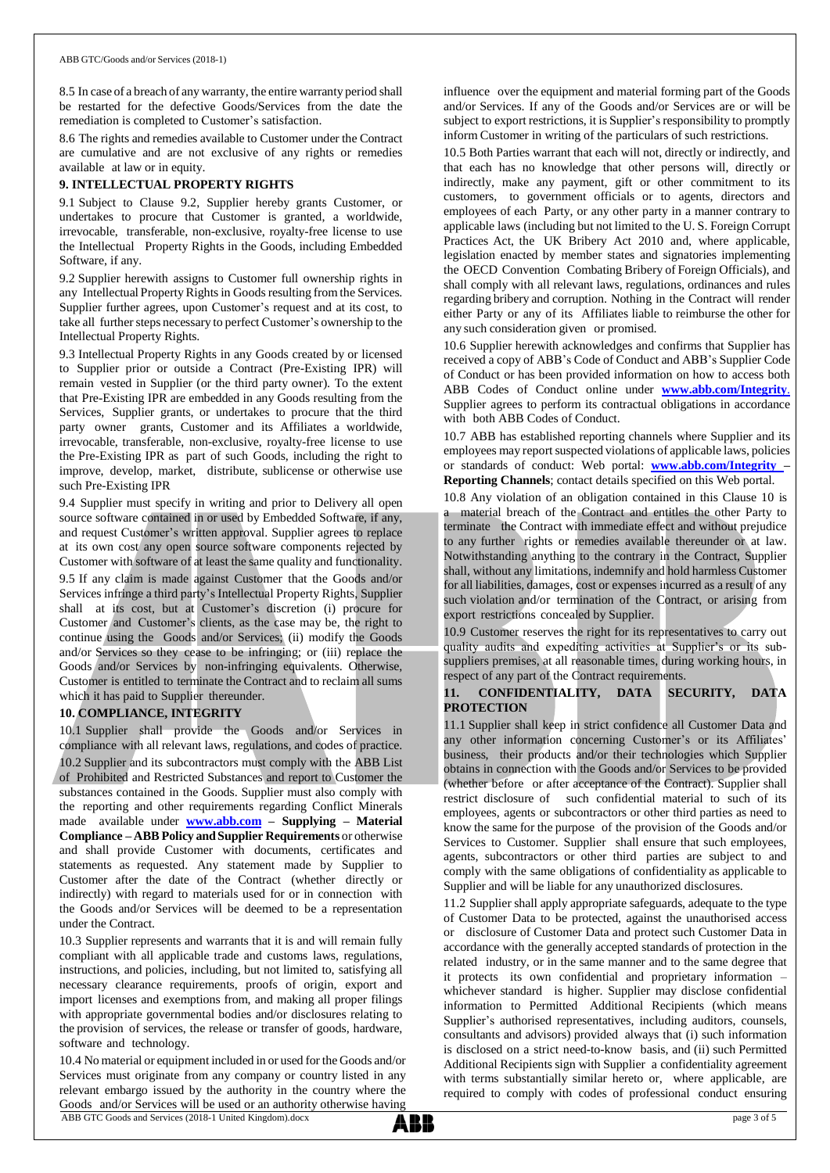8.5 In case of a breach of any warranty, the entire warranty period shall be restarted for the defective Goods/Services from the date the remediation is completed to Customer's satisfaction.

8.6 The rights and remedies available to Customer under the Contract are cumulative and are not exclusive of any rights or remedies available at law or in equity.

### **9. INTELLECTUAL PROPERTY RIGHTS**

9.1 Subject to Clause 9.2, Supplier hereby grants Customer, or undertakes to procure that Customer is granted, a worldwide, irrevocable, transferable, non-exclusive, royalty-free license to use the Intellectual Property Rights in the Goods, including Embedded Software, if any.

9.2 Supplier herewith assigns to Customer full ownership rights in any Intellectual Property Rights in Goods resulting from the Services. Supplier further agrees, upon Customer's request and at its cost, to take all further steps necessary to perfect Customer's ownership to the Intellectual Property Rights.

9.3 Intellectual Property Rights in any Goods created by or licensed to Supplier prior or outside a Contract (Pre-Existing IPR) will remain vested in Supplier (or the third party owner). To the extent that Pre-Existing IPR are embedded in any Goods resulting from the Services, Supplier grants, or undertakes to procure that the third party owner grants, Customer and its Affiliates a worldwide, irrevocable, transferable, non-exclusive, royalty-free license to use the Pre-Existing IPR as part of such Goods, including the right to improve, develop, market, distribute, sublicense or otherwise use such Pre-Existing IPR

9.4 Supplier must specify in writing and prior to Delivery all open source software contained in or used by Embedded Software, if any, and request Customer's written approval. Supplier agrees to replace at its own cost any open source software components rejected by Customer with software of at least the same quality and functionality.

9.5 If any claim is made against Customer that the Goods and/or Services infringe a third party's Intellectual Property Rights, Supplier shall at its cost, but at Customer's discretion (i) procure for Customer and Customer's clients, as the case may be, the right to continue using the Goods and/or Services; (ii) modify the Goods and/or Services so they cease to be infringing; or (iii) replace the Goods and/or Services by non-infringing equivalents. Otherwise, Customer is entitled to terminate the Contract and to reclaim all sums which it has paid to Supplier thereunder.

#### **10. COMPLIANCE, INTEGRITY**

10.1 Supplier shall provide the Goods and/or Services in compliance with all relevant laws, regulations, and codes of practice. 10.2 Supplier and its subcontractors must comply with the ABB List of Prohibited and Restricted Substances and report to Customer the substances contained in the Goods. Supplier must also comply with the reporting and other requirements regarding Conflict Minerals made available under **[www.abb.com](http://www.abb.com/) – Supplying – Material Compliance** – **ABB** Policy and Supplier Requirements or otherwise and shall provide Customer with documents, certificates and statements as requested. Any statement made by Supplier to Customer after the date of the Contract (whether directly or indirectly) with regard to materials used for or in connection with the Goods and/or Services will be deemed to be a representation under the Contract.

10.3 Supplier represents and warrants that it is and will remain fully compliant with all applicable trade and customs laws, regulations, instructions, and policies, including, but not limited to, satisfying all necessary clearance requirements, proofs of origin, export and import licenses and exemptions from, and making all proper filings with appropriate governmental bodies and/or disclosures relating to the provision of services, the release or transfer of goods, hardware, software and technology.

ABB GTC Goods and Services (2018-1 United Kingdom).docx page 3 of 5 10.4 No material or equipment included in or used for the Goods and/or Services must originate from any company or country listed in any relevant embargo issued by the authority in the country where the Goods and/or Services will be used or an authority otherwise having

influence over the equipment and material forming part of the Goods and/or Services. If any of the Goods and/or Services are or will be subject to export restrictions, it is Supplier's responsibility to promptly inform Customer in writing of the particulars of such restrictions.

10.5 Both Parties warrant that each will not, directly or indirectly, and that each has no knowledge that other persons will, directly or indirectly, make any payment, gift or other commitment to its customers, to government officials or to agents, directors and employees of each Party, or any other party in a manner contrary to applicable laws (including but not limited to the U. S. Foreign Corrupt Practices Act, the UK Bribery Act 2010 and, where applicable, legislation enacted by member states and signatories implementing the OECD Convention Combating Bribery of Foreign Officials), and shall comply with all relevant laws, regulations, ordinances and rules regarding bribery and corruption. Nothing in the Contract will render either Party or any of its Affiliates liable to reimburse the other for any such consideration given or promised.

10.6 Supplier herewith acknowledges and confirms that Supplier has received a copy of ABB's Code of Conduct and ABB's Supplier Code of Conduct or has been provided information on how to access both ABB Codes of Conduct online under **[www.abb.com/Integrity](http://www.abb.com/Integrity.)**. Supplier agrees to perform its contractual obligations in accordance with both ABB Codes of Conduct.

10.7 ABB has established reporting channels where Supplier and its employees may report suspected violations of applicable laws, policies or standards of conduct: Web portal: **[www.abb.com/Integrity](http://www.abb.com/Integrity) – Reporting Channels**; contact details specified on this Web portal.

10.8 Any violation of an obligation contained in this Clause 10 is a material breach of the Contract and entitles the other Party to terminate the Contract with immediate effect and without prejudice to any further rights or remedies available thereunder or at law. Notwithstanding anything to the contrary in the Contract, Supplier shall, without any limitations, indemnify and hold harmless Customer for all liabilities, damages, cost or expenses incurred as a result of any such violation and/or termination of the Contract, or arising from export restrictions concealed by Supplier.

10.9 Customer reserves the right for its representatives to carry out quality audits and expediting activities at Supplier's or its subsuppliers premises, at all reasonable times, during working hours, in respect of any part of the Contract requirements.

### **11. CONFIDENTIALITY, DATA SECURITY, DATA PROTECTION**

11.1 Supplier shall keep in strict confidence all Customer Data and any other information concerning Customer's or its Affiliates' business, their products and/or their technologies which Supplier obtains in connection with the Goods and/or Services to be provided (whether before or after acceptance of the Contract). Supplier shall restrict disclosure of such confidential material to such of its employees, agents or subcontractors or other third parties as need to know the same for the purpose of the provision of the Goods and/or Services to Customer. Supplier shall ensure that such employees, agents, subcontractors or other third parties are subject to and comply with the same obligations of confidentiality as applicable to Supplier and will be liable for any unauthorized disclosures.

11.2 Supplier shall apply appropriate safeguards, adequate to the type of Customer Data to be protected, against the unauthorised access or disclosure of Customer Data and protect such Customer Data in accordance with the generally accepted standards of protection in the related industry, or in the same manner and to the same degree that it protects its own confidential and proprietary information – whichever standard is higher. Supplier may disclose confidential information to Permitted Additional Recipients (which means Supplier's authorised representatives, including auditors, counsels, consultants and advisors) provided always that (i) such information is disclosed on a strict need-to-know basis, and (ii) such Permitted Additional Recipients sign with Supplier a confidentiality agreement with terms substantially similar hereto or, where applicable, are required to comply with codes of professional conduct ensuring

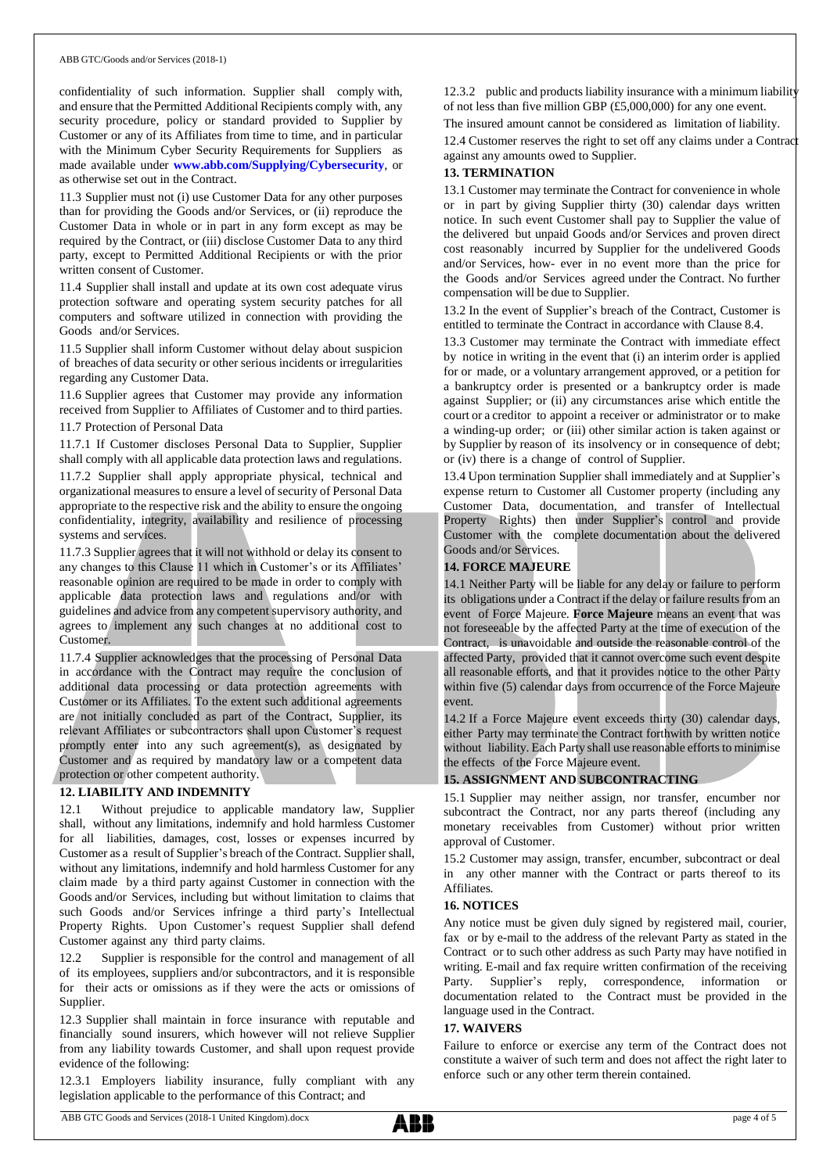confidentiality of such information. Supplier shall comply with, and ensure that the Permitted Additional Recipients comply with, any security procedure, policy or standard provided to Supplier by Customer or any of its Affiliates from time to time, and in particular with the Minimum Cyber Security Requirements for Suppliers as made available under **[www.abb.com/Supplying/Cybersecurity](http://www.abb.com/Supplying/Cybersecurity)**, or as otherwise set out in the Contract.

11.3 Supplier must not (i) use Customer Data for any other purposes than for providing the Goods and/or Services, or (ii) reproduce the Customer Data in whole or in part in any form except as may be required by the Contract, or (iii) disclose Customer Data to any third party, except to Permitted Additional Recipients or with the prior written consent of Customer.

11.4 Supplier shall install and update at its own cost adequate virus protection software and operating system security patches for all computers and software utilized in connection with providing the Goods and/or Services.

11.5 Supplier shall inform Customer without delay about suspicion of breaches of data security or other serious incidents or irregularities regarding any Customer Data.

11.6 Supplier agrees that Customer may provide any information received from Supplier to Affiliates of Customer and to third parties. 11.7 Protection of Personal Data

11.7.1 If Customer discloses Personal Data to Supplier, Supplier shall comply with all applicable data protection laws and regulations.

11.7.2 Supplier shall apply appropriate physical, technical and organizational measures to ensure a level of security of Personal Data appropriate to the respective risk and the ability to ensure the ongoing confidentiality, integrity, availability and resilience of processing systems and services.

11.7.3 Supplier agrees that it will not withhold or delay its consent to any changes to this Clause 11 which in Customer's or its Affiliates' reasonable opinion are required to be made in order to comply with applicable data protection laws and regulations and/or with guidelines and advice from any competent supervisory authority, and agrees to implement any such changes at no additional cost to Customer.

11.7.4 Supplier acknowledges that the processing of Personal Data in accordance with the Contract may require the conclusion of additional data processing or data protection agreements with Customer or its Affiliates. To the extent such additional agreements are not initially concluded as part of the Contract, Supplier, its relevant Affiliates or subcontractors shall upon Customer's request promptly enter into any such agreement(s), as designated by Customer and as required by mandatory law or a competent data protection or other competent authority.

## **12. LIABILITY AND INDEMNITY**

12.1 Without prejudice to applicable mandatory law, Supplier shall, without any limitations, indemnify and hold harmless Customer for all liabilities, damages, cost, losses or expenses incurred by Customer as a result of Supplier's breach of the Contract. Supplier shall, without any limitations, indemnify and hold harmless Customer for any claim made by a third party against Customer in connection with the Goods and/or Services, including but without limitation to claims that such Goods and/or Services infringe a third party's Intellectual Property Rights. Upon Customer's request Supplier shall defend Customer against any third party claims.

Supplier is responsible for the control and management of all of its employees, suppliers and/or subcontractors, and it is responsible for their acts or omissions as if they were the acts or omissions of Supplier.

12.3 Supplier shall maintain in force insurance with reputable and financially sound insurers, which however will not relieve Supplier from any liability towards Customer, and shall upon request provide evidence of the following:

12.3.1 Employers liability insurance, fully compliant with any legislation applicable to the performance of this Contract; and

12.3.2 public and products liability insurance with a minimum liability of not less than five million GBP (£5,000,000) for any one event. The insured amount cannot be considered as limitation of liability.

12.4 Customer reserves the right to set off any claims under a Contractionagainst any amounts owed to Supplier.

### **13. TERMINATION**

13.1 Customer may terminate the Contract for convenience in whole or in part by giving Supplier thirty (30) calendar days written notice. In such event Customer shall pay to Supplier the value of the delivered but unpaid Goods and/or Services and proven direct cost reasonably incurred by Supplier for the undelivered Goods and/or Services, how- ever in no event more than the price for the Goods and/or Services agreed under the Contract. No further compensation will be due to Supplier.

13.2 In the event of Supplier's breach of the Contract, Customer is entitled to terminate the Contract in accordance with Clause 8.4.

13.3 Customer may terminate the Contract with immediate effect by notice in writing in the event that (i) an interim order is applied for or made, or a voluntary arrangement approved, or a petition for a bankruptcy order is presented or a bankruptcy order is made against Supplier; or (ii) any circumstances arise which entitle the court or a creditor to appoint a receiver or administrator or to make a winding-up order; or (iii) other similar action is taken against or by Supplier by reason of its insolvency or in consequence of debt; or (iv) there is a change of control of Supplier.

13.4 Upon termination Supplier shall immediately and at Supplier's expense return to Customer all Customer property (including any Customer Data, documentation, and transfer of Intellectual Property Rights) then under Supplier's control and provide Customer with the complete documentation about the delivered Goods and/or Services.

## **14. FORCE MAJEURE**

14.1 Neither Party will be liable for any delay or failure to perform its obligations under a Contract if the delay or failure results from an event of Force Majeure. **Force Majeure** means an event that was not foreseeable by the affected Party at the time of execution of the Contract, is unavoidable and outside the reasonable control of the affected Party, provided that it cannot overcome such event despite all reasonable efforts, and that it provides notice to the other Party within five (5) calendar days from occurrence of the Force Majeure event.

14.2 If a Force Majeure event exceeds thirty (30) calendar days, either Party may terminate the Contract forthwith by written notice without liability. Each Party shall use reasonable efforts to minimise the effects of the Force Majeure event.

## **15. ASSIGNMENT AND SUBCONTRACTING**

15.1 Supplier may neither assign, nor transfer, encumber nor subcontract the Contract, nor any parts thereof (including any monetary receivables from Customer) without prior written approval of Customer.

15.2 Customer may assign, transfer, encumber, subcontract or deal in any other manner with the Contract or parts thereof to its Affiliates.

## **16. NOTICES**

Any notice must be given duly signed by registered mail, courier, fax or by e-mail to the address of the relevant Party as stated in the Contract or to such other address as such Party may have notified in writing. E-mail and fax require written confirmation of the receiving Party. Supplier's reply, correspondence, information or documentation related to the Contract must be provided in the language used in the Contract.

## **17. WAIVERS**

Failure to enforce or exercise any term of the Contract does not constitute a waiver of such term and does not affect the right later to enforce such or any other term therein contained.